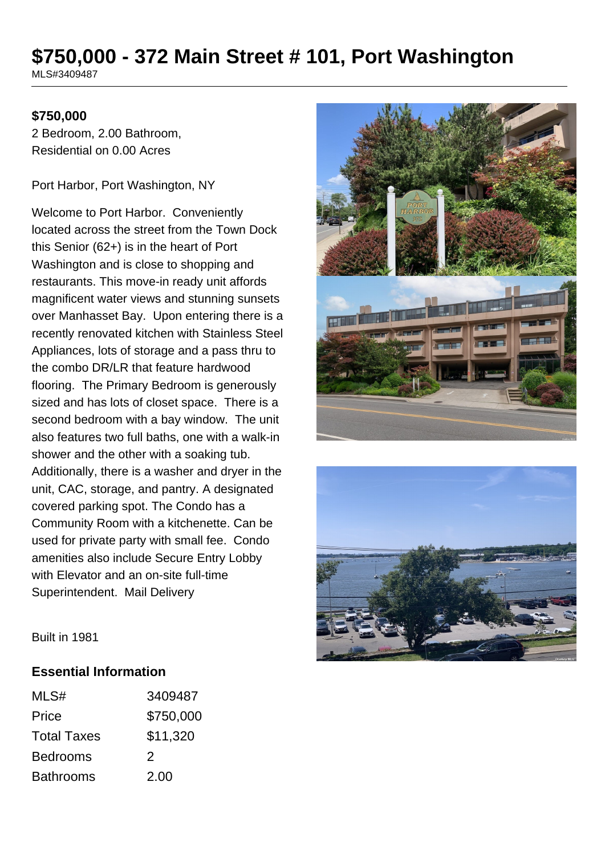# **\$750,000 - 372 Main Street # 101, Port Washington**

MLS#3409487

#### **\$750,000**

2 Bedroom, 2.00 Bathroom, Residential on 0.00 Acres

Port Harbor, Port Washington, NY

Welcome to Port Harbor. Conveniently located across the street from the Town Dock this Senior (62+) is in the heart of Port Washington and is close to shopping and restaurants. This move-in ready unit affords magnificent water views and stunning sunsets over Manhasset Bay. Upon entering there is a recently renovated kitchen with Stainless Steel Appliances, lots of storage and a pass thru to the combo DR/LR that feature hardwood flooring. The Primary Bedroom is generously sized and has lots of closet space. There is a second bedroom with a bay window. The unit also features two full baths, one with a walk-in shower and the other with a soaking tub. Additionally, there is a washer and dryer in the unit, CAC, storage, and pantry. A designated covered parking spot. The Condo has a Community Room with a kitchenette. Can be used for private party with small fee. Condo amenities also include Secure Entry Lobby with Elevator and an on-site full-time Superintendent. Mail Delivery





Built in 1981

#### **Essential Information**

| MLS#               | 3409487   |
|--------------------|-----------|
| Price              | \$750,000 |
| <b>Total Taxes</b> | \$11,320  |
| <b>Bedrooms</b>    | 2         |
| <b>Bathrooms</b>   | 2.00      |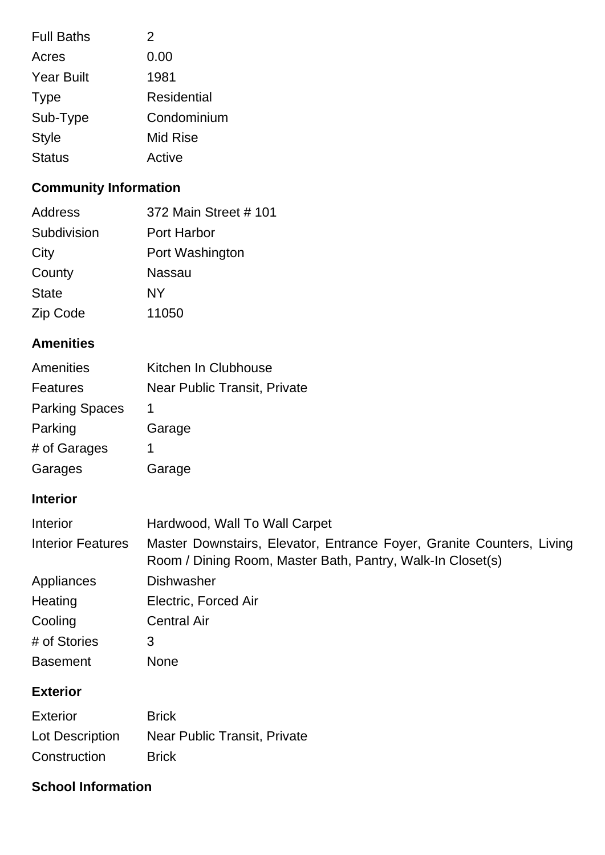| <b>Full Baths</b> | 2                  |
|-------------------|--------------------|
| Acres             | 0.00               |
| <b>Year Built</b> | 1981               |
| <b>Type</b>       | <b>Residential</b> |
| Sub-Type          | Condominium        |
| <b>Style</b>      | Mid Rise           |
| <b>Status</b>     | Active             |

## **Community Information**

| Address      | 372 Main Street # 101 |
|--------------|-----------------------|
| Subdivision  | Port Harbor           |
| City         | Port Washington       |
| County       | Nassau                |
| <b>State</b> | <b>NY</b>             |
| Zip Code     | 11050                 |

#### **Amenities**

| Amenities             | Kitchen In Clubhouse                |
|-----------------------|-------------------------------------|
| <b>Features</b>       | <b>Near Public Transit, Private</b> |
| <b>Parking Spaces</b> | 1                                   |
| Parking               | Garage                              |
| # of Garages          |                                     |
| Garages               | Garage                              |

#### **Interior**

| Interior                 | Hardwood, Wall To Wall Carpet                                                                                                       |
|--------------------------|-------------------------------------------------------------------------------------------------------------------------------------|
| <b>Interior Features</b> | Master Downstairs, Elevator, Entrance Foyer, Granite Counters, Living<br>Room / Dining Room, Master Bath, Pantry, Walk-In Closet(s) |
| Appliances               | <b>Dishwasher</b>                                                                                                                   |
| Heating                  | Electric, Forced Air                                                                                                                |
| Cooling                  | <b>Central Air</b>                                                                                                                  |
| # of Stories             | 3                                                                                                                                   |
| <b>Basement</b>          | None                                                                                                                                |

## **Exterior**

| <b>Exterior</b> | <b>Brick</b>                 |
|-----------------|------------------------------|
| Lot Description | Near Public Transit, Private |
| Construction    | <b>Brick</b>                 |

## **School Information**